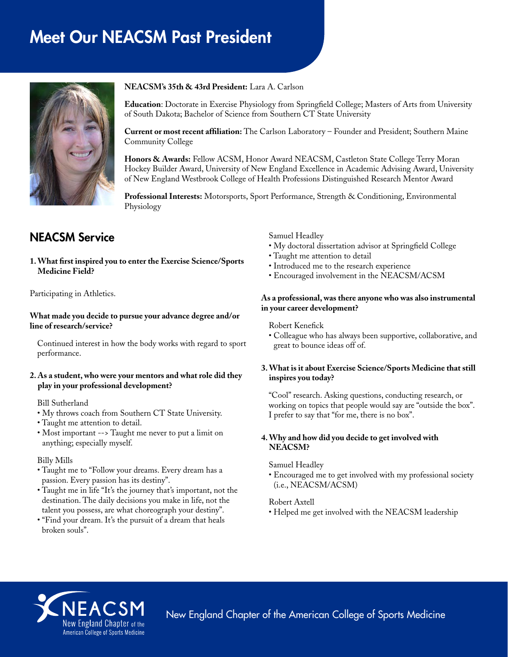# Meet Our NEACSM Past President



#### **NEACSM's 35th & 43rd President:** Lara A. Carlson

**Education**: Doctorate in Exercise Physiology from Springfield College; Masters of Arts from University of South Dakota; Bachelor of Science from Southern CT State University

**Current or most recent affiliation:** The Carlson Laboratory – Founder and President; Southern Maine Community College

**Honors & Awards:** Fellow ACSM, Honor Award NEACSM, Castleton State College Terry Moran Hockey Builder Award, University of New England Excellence in Academic Advising Award, University of New England Westbrook College of Health Professions Distinguished Research Mentor Award

**Professional Interests:** Motorsports, Sport Performance, Strength & Conditioning, Environmental Physiology

## NEACSM Service

**1. What first inspired you to enter the Exercise Science/Sports Medicine Field?**

Participating in Athletics.

**What made you decide to pursue your advance degree and/or line of research/service?**

Continued interest in how the body works with regard to sport performance.

#### **2. As a student, who were your mentors and what role did they play in your professional development?**

Bill Sutherland

- My throws coach from Southern CT State University.
- Taught me attention to detail.
- Most important --> Taught me never to put a limit on anything; especially myself.

#### Billy Mills

- Taught me to "Follow your dreams. Every dream has a passion. Every passion has its destiny".
- Taught me in life "It's the journey that's important, not the destination. The daily decisions you make in life, not the talent you possess, are what choreograph your destiny".
- "Find your dream. It's the pursuit of a dream that heals broken souls".

Samuel Headley

- My doctoral dissertation advisor at Springfield College
- Taught me attention to detail
- Introduced me to the research experience
- Encouraged involvement in the NEACSM/ACSM

#### **As a professional, was there anyone who was also instrumental in your career development?**

Robert Kenefick

• Colleague who has always been supportive, collaborative, and great to bounce ideas off of.

#### **3. What is it about Exercise Science/Sports Medicine that still inspires you today?**

"Cool" research. Asking questions, conducting research, or working on topics that people would say are "outside the box". I prefer to say that "for me, there is no box".

#### **4. Why and how did you decide to get involved with NEACSM?**

#### Samuel Headley

• Encouraged me to get involved with my professional society (i.e., NEACSM/ACSM)

#### Robert Axtell

• Helped me get involved with the NEACSM leadership



New England Chapter of the American College of Sports Medicine